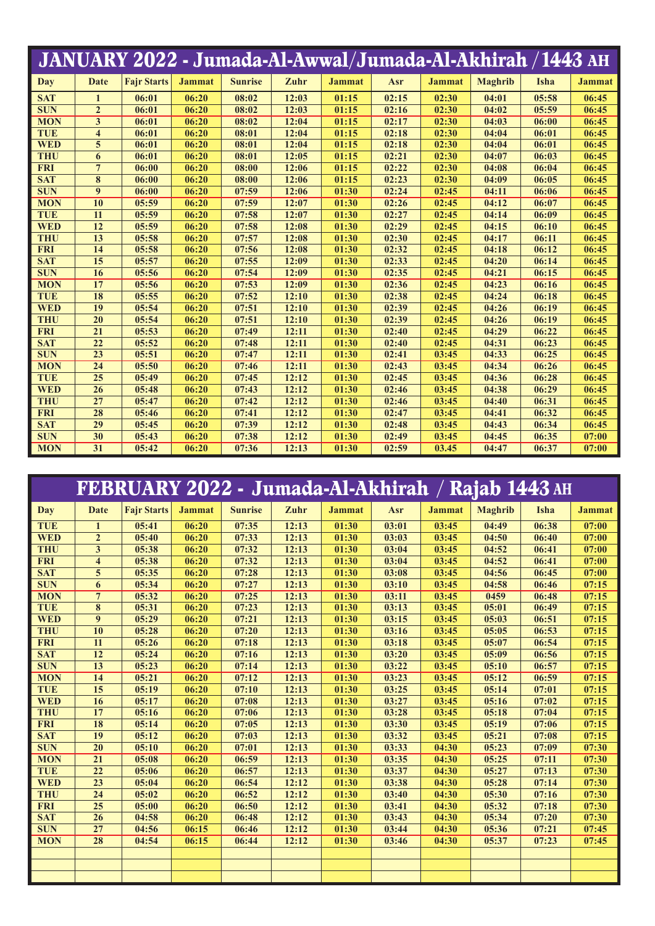|            |                         | JANUARY 2022 - Jumada-Al-Awwal/Jumada-Al-Akhirah / 1443 AH |               |                |       |               |       |               |                |       |               |
|------------|-------------------------|------------------------------------------------------------|---------------|----------------|-------|---------------|-------|---------------|----------------|-------|---------------|
| Day        | <b>Date</b>             | <b>Fair Starts</b>                                         | <b>Jammat</b> | <b>Sunrise</b> | Zuhr  | <b>Jammat</b> | Asr   | <b>Jammat</b> | <b>Maghrib</b> | Isha  | <b>Jammat</b> |
| <b>SAT</b> | $\mathbf{1}$            | 06:01                                                      | 06:20         | 08:02          | 12:03 | 01:15         | 02:15 | 02:30         | 04:01          | 05:58 | 06:45         |
| <b>SUN</b> | $\overline{2}$          | 06:01                                                      | 06:20         | 08:02          | 12:03 | 01:15         | 02:16 | 02:30         | 04:02          | 05:59 | 06:45         |
| <b>MON</b> | 3                       | 06:01                                                      | 06:20         | 08:02          | 12:04 | 01:15         | 02:17 | 02:30         | 04:03          | 06:00 | 06:45         |
| <b>TUE</b> | $\overline{\mathbf{4}}$ | 06:01                                                      | 06:20         | 08:01          | 12:04 | 01:15         | 02:18 | 02:30         | 04:04          | 06:01 | 06:45         |
| <b>WED</b> | 5                       | 06:01                                                      | 06:20         | 08:01          | 12:04 | 01:15         | 02:18 | 02:30         | 04:04          | 06:01 | 06:45         |
| <b>THU</b> | 6                       | 06:01                                                      | 06:20         | 08:01          | 12:05 | 01:15         | 02:21 | 02:30         | 04:07          | 06:03 | 06:45         |
| <b>FRI</b> | $\overline{7}$          | 06:00                                                      | 06:20         | 08:00          | 12:06 | 01:15         | 02:22 | 02:30         | 04:08          | 06:04 | 06:45         |
| <b>SAT</b> | 8                       | 06:00                                                      | 06:20         | 08:00          | 12:06 | 01:15         | 02:23 | 02:30         | 04:09          | 06:05 | 06:45         |
| <b>SUN</b> | $\boldsymbol{9}$        | 06:00                                                      | 06:20         | 07:59          | 12:06 | 01:30         | 02:24 | 02:45         | 04:11          | 06:06 | 06:45         |
| <b>MON</b> | 10                      | 05:59                                                      | 06:20         | 07:59          | 12:07 | 01:30         | 02:26 | 02:45         | 04:12          | 06:07 | 06:45         |
| <b>TUE</b> | 11                      | 05:59                                                      | 06:20         | 07:58          | 12:07 | 01:30         | 02:27 | 02:45         | 04:14          | 06:09 | 06:45         |
| <b>WED</b> | 12                      | 05:59                                                      | 06:20         | 07:58          | 12:08 | 01:30         | 02:29 | 02:45         | 04:15          | 06:10 | 06:45         |
| <b>THU</b> | 13                      | 05:58                                                      | 06:20         | 07:57          | 12:08 | 01:30         | 02:30 | 02:45         | 04:17          | 06:11 | 06:45         |
| <b>FRI</b> | 14                      | 05:58                                                      | 06:20         | 07:56          | 12:08 | 01:30         | 02:32 | 02:45         | 04:18          | 06:12 | 06:45         |
| <b>SAT</b> | 15                      | 05:57                                                      | 06:20         | 07:55          | 12:09 | 01:30         | 02:33 | 02:45         | 04:20          | 06:14 | 06:45         |
| <b>SUN</b> | 16                      | 05:56                                                      | 06:20         | 07:54          | 12:09 | 01:30         | 02:35 | 02:45         | 04:21          | 06:15 | 06:45         |
| <b>MON</b> | 17                      | 05:56                                                      | 06:20         | 07:53          | 12:09 | 01:30         | 02:36 | 02:45         | 04:23          | 06:16 | 06:45         |
| <b>TUE</b> | 18                      | 05:55                                                      | 06:20         | 07:52          | 12:10 | 01:30         | 02:38 | 02:45         | 04:24          | 06:18 | 06:45         |
| <b>WED</b> | 19                      | 05:54                                                      | 06:20         | 07:51          | 12:10 | 01:30         | 02:39 | 02:45         | 04:26          | 06:19 | 06:45         |
| <b>THU</b> | 20                      | 05:54                                                      | 06:20         | 07:51          | 12:10 | 01:30         | 02:39 | 02:45         | 04:26          | 06:19 | 06:45         |
| <b>FRI</b> | 21                      | 05:53                                                      | 06:20         | 07:49          | 12:11 | 01:30         | 02:40 | 02:45         | 04:29          | 06:22 | 06:45         |
| <b>SAT</b> | 22                      | 05:52                                                      | 06:20         | 07:48          | 12:11 | 01:30         | 02:40 | 02:45         | 04:31          | 06:23 | 06:45         |
| <b>SUN</b> | 23                      | 05:51                                                      | 06:20         | 07:47          | 12:11 | 01:30         | 02:41 | 03:45         | 04:33          | 06:25 | 06:45         |
| <b>MON</b> | 24                      | 05:50                                                      | 06:20         | 07:46          | 12:11 | 01:30         | 02:43 | 03:45         | 04:34          | 06:26 | 06:45         |
| <b>TUE</b> | 25                      | 05:49                                                      | 06:20         | 07:45          | 12:12 | 01:30         | 02:45 | 03:45         | 04:36          | 06:28 | 06:45         |
| <b>WED</b> | 26                      | 05:48                                                      | 06:20         | 07:43          | 12:12 | 01:30         | 02:46 | 03:45         | 04:38          | 06:29 | 06:45         |
| <b>THU</b> | 27                      | 05:47                                                      | 06:20         | 07:42          | 12:12 | 01:30         | 02:46 | 03:45         | 04:40          | 06:31 | 06:45         |
| <b>FRI</b> | 28                      | 05:46                                                      | 06:20         | 07:41          | 12:12 | 01:30         | 02:47 | 03:45         | 04:41          | 06:32 | 06:45         |
| <b>SAT</b> | 29                      | 05:45                                                      | 06:20         | 07:39          | 12:12 | 01:30         | 02:48 | 03:45         | 04:43          | 06:34 | 06:45         |
| <b>SUN</b> | 30                      | 05:43                                                      | 06:20         | 07:38          | 12:12 | 01:30         | 02:49 | 03:45         | 04:45          | 06:35 | 07:00         |
| <b>MON</b> | 31                      | 05:42                                                      | 06:20         | 07:36          | 12:13 | 01:30         | 02:59 | 03.45         | 04:47          | 06:37 | 07:00         |

|            |                         | FEBRUARY 2022 - Jumada-Al-Akhirah / Rajab 1443 AH |               |                |       |               |       |               |                |       |               |
|------------|-------------------------|---------------------------------------------------|---------------|----------------|-------|---------------|-------|---------------|----------------|-------|---------------|
| Day        | <b>Date</b>             | <b>Fajr Starts</b>                                | <b>Jammat</b> | <b>Sunrise</b> | Zuhr  | <b>Jammat</b> | Asr   | <b>Jammat</b> | <b>Maghrib</b> | Isha  | <b>Jammat</b> |
| <b>TUE</b> | $\mathbf{1}$            | 05:41                                             | 06:20         | 07:35          | 12:13 | 01:30         | 03:01 | 03:45         | 04:49          | 06:38 | 07:00         |
| <b>WED</b> | $\overline{2}$          | 05:40                                             | 06:20         | 07:33          | 12:13 | 01:30         | 03:03 | 03:45         | 04:50          | 06:40 | 07:00         |
| <b>THU</b> | $\overline{\mathbf{3}}$ | 05:38                                             | 06:20         | 07:32          | 12:13 | 01:30         | 03:04 | 03:45         | 04:52          | 06:41 | 07:00         |
| <b>FRI</b> | $\overline{\mathbf{4}}$ | 05:38                                             | 06:20         | 07:32          | 12:13 | 01:30         | 03:04 | 03:45         | 04:52          | 06:41 | 07:00         |
| <b>SAT</b> | 5                       | 05:35                                             | 06:20         | 07:28          | 12:13 | 01:30         | 03:08 | 03:45         | 04:56          | 06:45 | 07:00         |
| <b>SUN</b> | 6                       | 05:34                                             | 06:20         | 07:27          | 12:13 | 01:30         | 03:10 | 03:45         | 04:58          | 06:46 | 07:15         |
| <b>MON</b> | $7\phantom{.0}$         | 05:32                                             | 06:20         | 07:25          | 12:13 | 01:30         | 03:11 | 03:45         | 0459           | 06:48 | 07:15         |
| <b>TUE</b> | 8                       | 05:31                                             | 06:20         | 07:23          | 12:13 | 01:30         | 03:13 | 03:45         | 05:01          | 06:49 | 07:15         |
| <b>WED</b> | 9                       | 05:29                                             | 06:20         | 07:21          | 12:13 | 01:30         | 03:15 | 03:45         | 05:03          | 06:51 | 07:15         |
| <b>THU</b> | 10                      | 05:28                                             | 06:20         | 07:20          | 12:13 | 01:30         | 03:16 | 03:45         | 05:05          | 06:53 | 07:15         |
| <b>FRI</b> | $\overline{11}$         | 05:26                                             | 06:20         | 07:18          | 12:13 | 01:30         | 03:18 | 03:45         | 05:07          | 06:54 | 07:15         |
| <b>SAT</b> | 12                      | 05:24                                             | 06:20         | 07:16          | 12:13 | 01:30         | 03:20 | 03:45         | 05:09          | 06:56 | 07:15         |
| <b>SUN</b> | 13                      | 05:23                                             | 06:20         | 07:14          | 12:13 | 01:30         | 03:22 | 03:45         | 05:10          | 06:57 | 07:15         |
| <b>MON</b> | $\overline{14}$         | 05:21                                             | 06:20         | 07:12          | 12:13 | 01:30         | 03:23 | 03:45         | 05:12          | 06:59 | 07:15         |
| <b>TUE</b> | 15                      | 05:19                                             | 06:20         | 07:10          | 12:13 | 01:30         | 03:25 | 03:45         | 05:14          | 07:01 | 07:15         |
| <b>WED</b> | 16                      | 05:17                                             | 06:20         | 07:08          | 12:13 | 01:30         | 03:27 | 03:45         | 05:16          | 07:02 | 07:15         |
| <b>THU</b> | 17                      | 05:16                                             | 06:20         | 07:06          | 12:13 | 01:30         | 03:28 | 03:45         | 05:18          | 07:04 | 07:15         |
| <b>FRI</b> | 18                      | 05:14                                             | 06:20         | 07:05          | 12:13 | 01:30         | 03:30 | 03:45         | 05:19          | 07:06 | 07:15         |
| <b>SAT</b> | 19                      | 05:12                                             | 06:20         | 07:03          | 12:13 | 01:30         | 03:32 | 03:45         | 05:21          | 07:08 | 07:15         |
| <b>SUN</b> | 20                      | 05:10                                             | 06:20         | 07:01          | 12:13 | 01:30         | 03:33 | 04:30         | 05:23          | 07:09 | 07:30         |
| <b>MON</b> | 21                      | 05:08                                             | 06:20         | 06:59          | 12:13 | 01:30         | 03:35 | 04:30         | 05:25          | 07:11 | 07:30         |
| <b>TUE</b> | 22                      | 05:06                                             | 06:20         | 06:57          | 12:13 | 01:30         | 03:37 | 04:30         | 05:27          | 07:13 | 07:30         |
| <b>WED</b> | $\overline{23}$         | 05:04                                             | 06:20         | 06:54          | 12:12 | 01:30         | 03:38 | 04:30         | 05:28          | 07:14 | 07:30         |
| <b>THU</b> | 24                      | 05:02                                             | 06:20         | 06:52          | 12:12 | 01:30         | 03:40 | 04:30         | 05:30          | 07:16 | 07:30         |
| <b>FRI</b> | 25                      | 05:00                                             | 06:20         | 06:50          | 12:12 | 01:30         | 03:41 | 04:30         | 05:32          | 07:18 | 07:30         |
| <b>SAT</b> | 26                      | 04:58                                             | 06:20         | 06:48          | 12:12 | 01:30         | 03:43 | 04:30         | 05:34          | 07:20 | 07:30         |
| <b>SUN</b> | 27                      | 04:56                                             | 06:15         | 06:46          | 12:12 | 01:30         | 03:44 | 04:30         | 05:36          | 07:21 | 07:45         |
| <b>MON</b> | 28                      | 04:54                                             | 06:15         | 06:44          | 12:12 | 01:30         | 03:46 | 04:30         | 05:37          | 07:23 | 07:45         |
|            |                         |                                                   |               |                |       |               |       |               |                |       |               |
|            |                         |                                                   |               |                |       |               |       |               |                |       |               |
|            |                         |                                                   |               |                |       |               |       |               |                |       |               |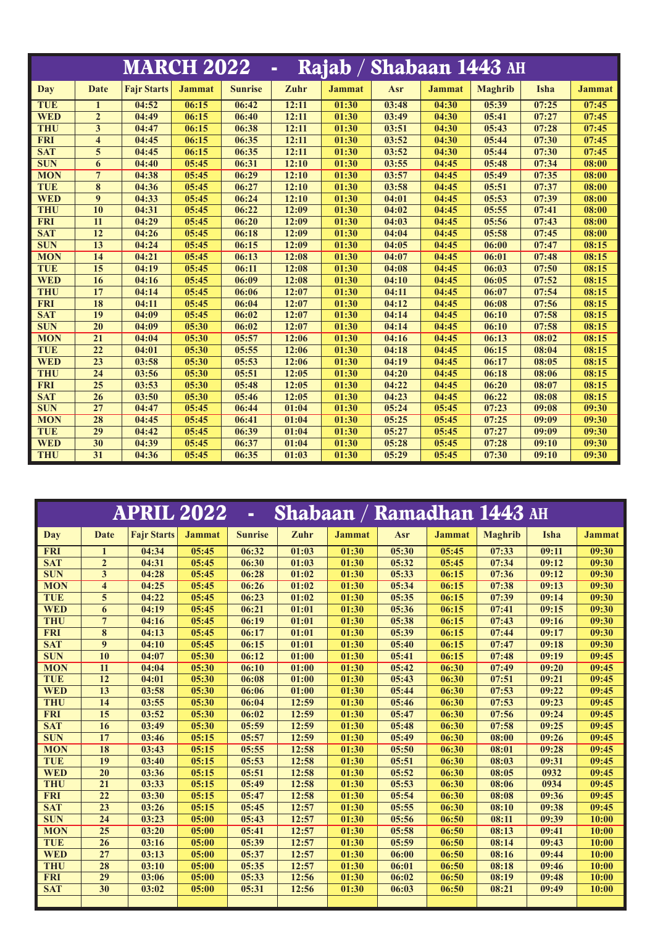|            |                         | <b>MARCH 2022</b>  |               |                | $\blacksquare$ |               |       |               | Rajab / Shabaan 1443 AH |       |               |
|------------|-------------------------|--------------------|---------------|----------------|----------------|---------------|-------|---------------|-------------------------|-------|---------------|
| Day        | Date                    | <b>Fair Starts</b> | <b>Jammat</b> | <b>Sunrise</b> | Zuhr           | <b>Jammat</b> | Asr   | <b>Jammat</b> | <b>Maghrib</b>          | Isha  | <b>Jammat</b> |
| TUE        | $\mathbf{1}$            | 04:52              | 06:15         | 06:42          | 12:11          | 01:30         | 03:48 | 04:30         | 05:39                   | 07:25 | 07:45         |
| <b>WED</b> | $\overline{2}$          | 04:49              | 06:15         | 06:40          | 12:11          | 01:30         | 03:49 | 04:30         | 05:41                   | 07:27 | 07:45         |
| <b>THU</b> | 3                       | 04:47              | 06:15         | 06:38          | 12:11          | 01:30         | 03:51 | 04:30         | 05:43                   | 07:28 | 07:45         |
| <b>FRI</b> | $\overline{\mathbf{4}}$ | 04:45              | 06:15         | 06:35          | 12:11          | 01:30         | 03:52 | 04:30         | 05:44                   | 07:30 | 07:45         |
| <b>SAT</b> | 5                       | 04:45              | 06:15         | 06:35          | 12:11          | 01:30         | 03:52 | 04:30         | 05:44                   | 07:30 | 07:45         |
| <b>SUN</b> | 6                       | 04:40              | 05:45         | 06:31          | 12:10          | 01:30         | 03:55 | 04:45         | 05:48                   | 07:34 | 08:00         |
| <b>MON</b> | $\overline{7}$          | 04:38              | 05:45         | 06:29          | 12:10          | 01:30         | 03:57 | 04:45         | 05:49                   | 07:35 | 08:00         |
| <b>TUE</b> | 8                       | 04:36              | 05:45         | 06:27          | 12:10          | 01:30         | 03:58 | 04:45         | 05:51                   | 07:37 | 08:00         |
| <b>WED</b> | 9                       | 04:33              | 05:45         | 06:24          | 12:10          | 01:30         | 04:01 | 04:45         | 05:53                   | 07:39 | 08:00         |
| <b>THU</b> | 10                      | 04:31              | 05:45         | 06:22          | 12:09          | 01:30         | 04:02 | 04:45         | 05:55                   | 07:41 | 08:00         |
| <b>FRI</b> | 11                      | 04:29              | 05:45         | 06:20          | 12:09          | 01:30         | 04:03 | 04:45         | 05:56                   | 07:43 | 08:00         |
| <b>SAT</b> | 12                      | 04:26              | 05:45         | 06:18          | 12:09          | 01:30         | 04:04 | 04:45         | 05:58                   | 07:45 | 08:00         |
| <b>SUN</b> | 13                      | 04:24              | 05:45         | 06:15          | 12:09          | 01:30         | 04:05 | 04:45         | 06:00                   | 07:47 | 08:15         |
| <b>MON</b> | 14                      | 04:21              | 05:45         | 06:13          | 12:08          | 01:30         | 04:07 | 04:45         | 06:01                   | 07:48 | 08:15         |
| <b>TUE</b> | 15                      | 04:19              | 05:45         | 06:11          | 12:08          | 01:30         | 04:08 | 04:45         | 06:03                   | 07:50 | 08:15         |
| <b>WED</b> | 16                      | 04:16              | 05:45         | 06:09          | 12:08          | 01:30         | 04:10 | 04:45         | 06:05                   | 07:52 | 08:15         |
| <b>THU</b> | 17                      | 04:14              | 05:45         | 06:06          | 12:07          | 01:30         | 04:11 | 04:45         | 06:07                   | 07:54 | 08:15         |
| <b>FRI</b> | 18                      | 04:11              | 05:45         | 06:04          | 12:07          | 01:30         | 04:12 | 04:45         | 06:08                   | 07:56 | 08:15         |
| <b>SAT</b> | 19                      | 04:09              | 05:45         | 06:02          | 12:07          | 01:30         | 04:14 | 04:45         | 06:10                   | 07:58 | 08:15         |
| <b>SUN</b> | 20                      | 04:09              | 05:30         | 06:02          | 12:07          | 01:30         | 04:14 | 04:45         | 06:10                   | 07:58 | 08:15         |
| <b>MON</b> | $\overline{21}$         | 04:04              | 05:30         | 05:57          | 12:06          | 01:30         | 04:16 | 04:45         | 06:13                   | 08:02 | 08:15         |
| <b>TUE</b> | 22                      | 04:01              | 05:30         | 05:55          | 12:06          | 01:30         | 04:18 | 04:45         | 06:15                   | 08:04 | 08:15         |
| <b>WED</b> | 23                      | 03:58              | 05:30         | 05:53          | 12:06          | 01:30         | 04:19 | 04:45         | 06:17                   | 08:05 | 08:15         |
| <b>THU</b> | 24                      | 03:56              | 05:30         | 05:51          | 12:05          | 01:30         | 04:20 | 04:45         | 06:18                   | 08:06 | 08:15         |
| <b>FRI</b> | 25                      | 03:53              | 05:30         | 05:48          | 12:05          | 01:30         | 04:22 | 04:45         | 06:20                   | 08:07 | 08:15         |
| <b>SAT</b> | 26                      | 03:50              | 05:30         | 05:46          | 12:05          | 01:30         | 04:23 | 04:45         | 06:22                   | 08:08 | 08:15         |
| <b>SUN</b> | 27                      | 04:47              | 05:45         | 06:44          | 01:04          | 01:30         | 05:24 | 05:45         | 07:23                   | 09:08 | 09:30         |
| <b>MON</b> | 28                      | 04:45              | 05:45         | 06:41          | 01:04          | 01:30         | 05:25 | 05:45         | 07:25                   | 09:09 | 09:30         |
| <b>TUE</b> | 29                      | 04:42              | 05:45         | 06:39          | 01:04          | 01:30         | 05:27 | 05:45         | 07:27                   | 09:09 | 09:30         |
| <b>WED</b> | $\overline{30}$         | 04:39              | 05:45         | 06:37          | 01:04          | 01:30         | 05:28 | 05:45         | 07:28                   | 09:10 | 09:30         |
| <b>THU</b> | 31                      | 04:36              | 05:45         | 06:35          | 01:03          | 01:30         | 05:29 | 05:45         | 07:30                   | 09:10 | 09:30         |

|            |                         | <b>APRIL 2022</b>  |               | $\blacksquare$ |       |               | <b>Shabaan / Ramadhan 1443 AH</b> |               |                |       |               |
|------------|-------------------------|--------------------|---------------|----------------|-------|---------------|-----------------------------------|---------------|----------------|-------|---------------|
| Day        | Date                    | <b>Fair Starts</b> | <b>Jammat</b> | <b>Sunrise</b> | Zuhr  | <b>Jammat</b> | Asr                               | <b>Jammat</b> | <b>Maghrib</b> | Isha  | <b>Jammat</b> |
| <b>FRI</b> | $\mathbf{1}$            | 04:34              | 05:45         | 06:32          | 01:03 | 01:30         | 05:30                             | 05:45         | 07:33          | 09:11 | 09:30         |
| <b>SAT</b> | $\overline{2}$          | 04:31              | 05:45         | 06:30          | 01:03 | 01:30         | 05:32                             | 05:45         | 07:34          | 09:12 | 09:30         |
| <b>SUN</b> | $\overline{\mathbf{3}}$ | 04:28              | 05:45         | 06:28          | 01:02 | 01:30         | 05:33                             | 06:15         | 07:36          | 09:12 | 09:30         |
| <b>MON</b> | $\overline{\mathbf{4}}$ | 04:25              | 05:45         | 06:26          | 01:02 | 01:30         | 05:34                             | 06:15         | 07:38          | 09:13 | 09:30         |
| <b>TUE</b> | 5                       | 04:22              | 05:45         | 06:23          | 01:02 | 01:30         | 05:35                             | 06:15         | 07:39          | 09:14 | 09:30         |
| <b>WED</b> | 6                       | 04:19              | 05:45         | 06:21          | 01:01 | 01:30         | 05:36                             | 06:15         | 07:41          | 09:15 | 09:30         |
| <b>THU</b> | $7\phantom{.0}$         | 04:16              | 05:45         | 06:19          | 01:01 | 01:30         | 05:38                             | 06:15         | 07:43          | 09:16 | 09:30         |
| <b>FRI</b> | 8                       | 04:13              | 05:45         | 06:17          | 01:01 | 01:30         | 05:39                             | 06:15         | 07:44          | 09:17 | 09:30         |
| <b>SAT</b> | $\boldsymbol{9}$        | 04:10              | 05:45         | 06:15          | 01:01 | 01:30         | 05:40                             | 06:15         | 07:47          | 09:18 | 09:30         |
| <b>SUN</b> | 10                      | 04:07              | 05:30         | 06:12          | 01:00 | 01:30         | 05:41                             | 06:15         | 07:48          | 09:19 | 09:45         |
| <b>MON</b> | 11                      | 04:04              | 05:30         | 06:10          | 01:00 | 01:30         | 05:42                             | 06:30         | 07:49          | 09:20 | 09:45         |
| <b>TUE</b> | 12                      | 04:01              | 05:30         | 06:08          | 01:00 | 01:30         | 05:43                             | 06:30         | 07:51          | 09:21 | 09:45         |
| <b>WED</b> | 13                      | 03:58              | 05:30         | 06:06          | 01:00 | 01:30         | 05:44                             | 06:30         | 07:53          | 09:22 | 09:45         |
| <b>THU</b> | 14                      | 03:55              | 05:30         | 06:04          | 12:59 | 01:30         | 05:46                             | 06:30         | 07:53          | 09:23 | 09:45         |
| <b>FRI</b> | 15                      | 03:52              | 05:30         | 06:02          | 12:59 | 01:30         | 05:47                             | 06:30         | 07:56          | 09:24 | 09:45         |
| <b>SAT</b> | 16                      | 03:49              | 05:30         | 05:59          | 12:59 | 01:30         | 05:48                             | 06:30         | 07:58          | 09:25 | 09:45         |
| <b>SUN</b> | 17                      | 03:46              | 05:15         | 05:57          | 12:59 | 01:30         | 05:49                             | 06:30         | 08:00          | 09:26 | 09:45         |
| <b>MON</b> | 18                      | 03:43              | 05:15         | 05:55          | 12:58 | 01:30         | 05:50                             | 06:30         | 08:01          | 09:28 | 09:45         |
| <b>TUE</b> | 19                      | 03:40              | 05:15         | 05:53          | 12:58 | 01:30         | 05:51                             | 06:30         | 08:03          | 09:31 | 09:45         |
| <b>WED</b> | 20                      | 03:36              | 05:15         | 05:51          | 12:58 | 01:30         | 05:52                             | 06:30         | 08:05          | 0932  | 09:45         |
| <b>THU</b> | 21                      | 03:33              | 05:15         | 05:49          | 12:58 | 01:30         | 05:53                             | 06:30         | 08:06          | 0934  | 09:45         |
| <b>FRI</b> | 22                      | 03:30              | 05:15         | 05:47          | 12:58 | 01:30         | 05:54                             | 06:30         | 08:08          | 09:36 | 09:45         |
| <b>SAT</b> | 23                      | 03:26              | 05:15         | 05:45          | 12:57 | 01:30         | 05:55                             | 06:30         | 08:10          | 09:38 | 09:45         |
| <b>SUN</b> | 24                      | 03:23              | 05:00         | 05:43          | 12:57 | 01:30         | 05:56                             | 06:50         | 08:11          | 09:39 | 10:00         |
| <b>MON</b> | 25                      | 03:20              | 05:00         | 05:41          | 12:57 | 01:30         | 05:58                             | 06:50         | 08:13          | 09:41 | 10:00         |
| <b>TUE</b> | 26                      | 03:16              | 05:00         | 05:39          | 12:57 | 01:30         | 05:59                             | 06:50         | 08:14          | 09:43 | 10:00         |
| <b>WED</b> | 27                      | 03:13              | 05:00         | 05:37          | 12:57 | 01:30         | 06:00                             | 06:50         | 08:16          | 09:44 | 10:00         |
| <b>THU</b> | 28                      | 03:10              | 05:00         | 05:35          | 12:57 | 01:30         | 06:01                             | 06:50         | 08:18          | 09:46 | 10:00         |
| <b>FRI</b> | 29                      | 03:06              | 05:00         | 05:33          | 12:56 | 01:30         | 06:02                             | 06:50         | 08:19          | 09:48 | 10:00         |
| <b>SAT</b> | 30                      | 03:02              | 05:00         | 05:31          | 12:56 | 01:30         | 06:03                             | 06:50         | 08:21          | 09:49 | 10:00         |
|            |                         |                    |               |                |       |               |                                   |               |                |       |               |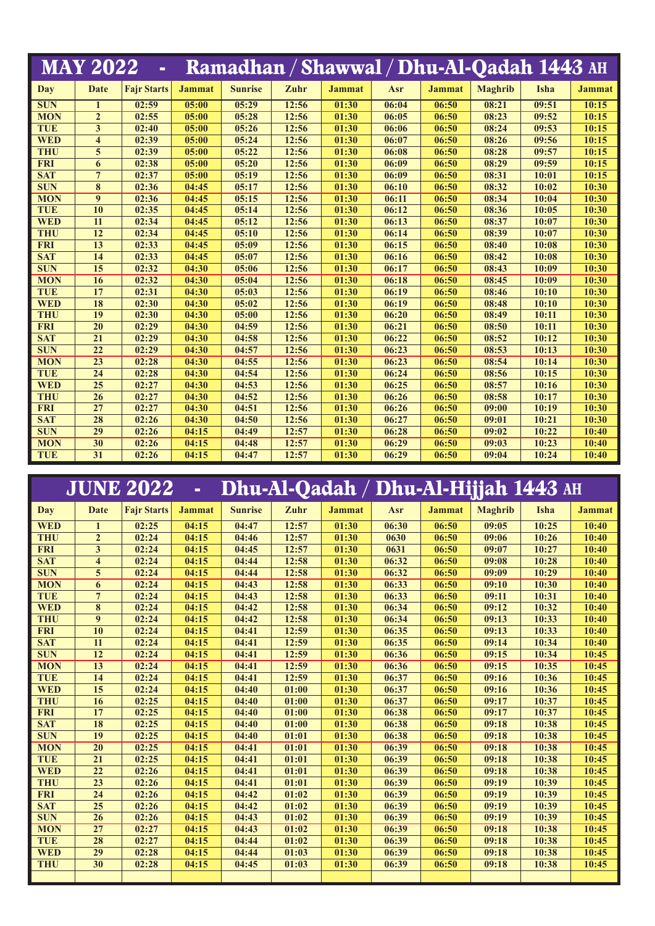|            | <b>MAY 2022</b>         | ä,                 |               |                |       | Ramadhan / Shawwal / Dhu-Al-Qadah 1443 AH |       |               |                |       |               |
|------------|-------------------------|--------------------|---------------|----------------|-------|-------------------------------------------|-------|---------------|----------------|-------|---------------|
| <b>Day</b> | Date                    | <b>Fajr Starts</b> | <b>Jammat</b> | <b>Sunrise</b> | Zuhr  | <b>Jammat</b>                             | Asr   | <b>Jammat</b> | <b>Maghrib</b> | Isha  | <b>Jammat</b> |
| <b>SUN</b> | $\mathbf{1}$            | 02:59              | 05:00         | 05:29          | 12:56 | 01:30                                     | 06:04 | 06:50         | 08:21          | 09:51 | 10:15         |
| <b>MON</b> | $\overline{2}$          | 02:55              | 05:00         | 05:28          | 12:56 | 01:30                                     | 06:05 | 06:50         | 08:23          | 09:52 | 10:15         |
| <b>TUE</b> | 3                       | 02:40              | 05:00         | 05:26          | 12:56 | 01:30                                     | 06:06 | 06:50         | 08:24          | 09:53 | 10:15         |
| <b>WED</b> | $\overline{\mathbf{4}}$ | 02:39              | 05:00         | 05:24          | 12:56 | 01:30                                     | 06:07 | 06:50         | 08:26          | 09:56 | 10:15         |
| <b>THU</b> | 5                       | 02:39              | 05:00         | 05:22          | 12:56 | 01:30                                     | 06:08 | 06:50         | 08:28          | 09:57 | 10:15         |
| <b>FRI</b> | 6                       | 02:38              | 05:00         | 05:20          | 12:56 | 01:30                                     | 06:09 | 06:50         | 08:29          | 09:59 | 10:15         |
| <b>SAT</b> | $\overline{7}$          | 02:37              | 05:00         | 05:19          | 12:56 | 01:30                                     | 06:09 | 06:50         | 08:31          | 10:01 | 10:15         |
| <b>SUN</b> | 8                       | 02:36              | 04:45         | 05:17          | 12:56 | 01:30                                     | 06:10 | 06:50         | 08:32          | 10:02 | 10:30         |
| <b>MON</b> | 9                       | 02:36              | 04:45         | 05:15          | 12:56 | 01:30                                     | 06:11 | 06:50         | 08:34          | 10:04 | 10:30         |
| <b>TUE</b> | 10                      | 02:35              | 04:45         | 05:14          | 12:56 | 01:30                                     | 06:12 | 06:50         | 08:36          | 10:05 | 10:30         |
| <b>WED</b> | 11                      | 02:34              | 04:45         | 05:12          | 12:56 | 01:30                                     | 06:13 | 06:50         | 08:37          | 10:07 | 10:30         |
| <b>THU</b> | 12                      | 02:34              | 04:45         | 05:10          | 12:56 | 01:30                                     | 06:14 | 06:50         | 08:39          | 10:07 | 10:30         |
| <b>FRI</b> | 13                      | 02:33              | 04:45         | 05:09          | 12:56 | 01:30                                     | 06:15 | 06:50         | 08:40          | 10:08 | 10:30         |
| <b>SAT</b> | 14                      | 02:33              | 04:45         | 05:07          | 12:56 | 01:30                                     | 06:16 | 06:50         | 08:42          | 10:08 | 10:30         |
| <b>SUN</b> | 15                      | 02:32              | 04:30         | 05:06          | 12:56 | 01:30                                     | 06:17 | 06:50         | 08:43          | 10:09 | 10:30         |
| <b>MON</b> | 16                      | 02:32              | 04:30         | 05:04          | 12:56 | 01:30                                     | 06:18 | 06:50         | 08:45          | 10:09 | 10:30         |
| <b>TUE</b> | 17                      | 02:31              | 04:30         | 05:03          | 12:56 | 01:30                                     | 06:19 | 06:50         | 08:46          | 10:10 | 10:30         |
| <b>WED</b> | 18                      | 02:30              | 04:30         | 05:02          | 12:56 | 01:30                                     | 06:19 | 06:50         | 08:48          | 10:10 | 10:30         |
| <b>THU</b> | 19                      | 02:30              | 04:30         | 05:00          | 12:56 | 01:30                                     | 06:20 | 06:50         | 08:49          | 10:11 | 10:30         |
| <b>FRI</b> | 20                      | 02:29              | 04:30         | 04:59          | 12:56 | 01:30                                     | 06:21 | 06:50         | 08:50          | 10:11 | 10:30         |
| <b>SAT</b> | 21                      | 02:29              | 04:30         | 04:58          | 12:56 | 01:30                                     | 06:22 | 06:50         | 08:52          | 10:12 | 10:30         |
| <b>SUN</b> | 22                      | 02:29              | 04:30         | 04:57          | 12:56 | 01:30                                     | 06:23 | 06:50         | 08:53          | 10:13 | 10:30         |
| <b>MON</b> | 23                      | 02:28              | 04:30         | 04:55          | 12:56 | 01:30                                     | 06:23 | 06:50         | 08:54          | 10:14 | 10:30         |
| <b>TUE</b> | 24                      | 02:28              | 04:30         | 04:54          | 12:56 | 01:30                                     | 06:24 | 06:50         | 08:56          | 10:15 | 10:30         |
| <b>WED</b> | 25                      | 02:27              | 04:30         | 04:53          | 12:56 | 01:30                                     | 06:25 | 06:50         | 08:57          | 10:16 | 10:30         |
| <b>THU</b> | 26                      | 02:27              | 04:30         | 04:52          | 12:56 | 01:30                                     | 06:26 | 06:50         | 08:58          | 10:17 | 10:30         |
| <b>FRI</b> | 27                      | 02:27              | 04:30         | 04:51          | 12:56 | 01:30                                     | 06:26 | 06:50         | 09:00          | 10:19 | 10:30         |
| <b>SAT</b> | 28                      | 02:26              | 04:30         | 04:50          | 12:56 | 01:30                                     | 06:27 | 06:50         | 09:01          | 10:21 | 10:30         |
| <b>SUN</b> | 29                      | 02:26              | 04:15         | 04:49          | 12:57 | 01:30                                     | 06:28 | 06:50         | 09:02          | 10:22 | 10:40         |
| <b>MON</b> | 30                      | 02:26              | 04:15         | 04:48          | 12:57 | 01:30                                     | 06:29 | 06:50         | 09:03          | 10:23 | 10:40         |
| <b>TUE</b> | 31                      | 02:26              | 04:15         | 04:47          | 12:57 | 01:30                                     | 06:29 | 06:50         | 09:04          | 10:24 | 10:40         |

|            |                         | <b>JUNE 2022</b>   | $\omega$      | Dhu-Al-Qadah / Dhu-Al-Hijjah 1443 AH |       |               |       |               |                |       |               |
|------------|-------------------------|--------------------|---------------|--------------------------------------|-------|---------------|-------|---------------|----------------|-------|---------------|
| Day        | <b>Date</b>             | <b>Fair Starts</b> | <b>Jammat</b> | <b>Sunrise</b>                       | Zuhr  | <b>Jammat</b> | Asr   | <b>Jammat</b> | <b>Maghrib</b> | Isha  | <b>Jammat</b> |
| <b>WED</b> | $\mathbf{1}$            | 02:25              | 04:15         | 04:47                                | 12:57 | 01:30         | 06:30 | 06:50         | 09:05          | 10:25 | 10:40         |
| <b>THU</b> | $\overline{2}$          | 02:24              | 04:15         | 04:46                                | 12:57 | 01:30         | 0630  | 06:50         | 09:06          | 10:26 | 10:40         |
| <b>FRI</b> | 3                       | 02:24              | 04:15         | 04:45                                | 12:57 | 01:30         | 0631  | 06:50         | 09:07          | 10:27 | 10:40         |
| <b>SAT</b> | $\overline{\mathbf{4}}$ | 02:24              | 04:15         | 04:44                                | 12:58 | 01:30         | 06:32 | 06:50         | 09:08          | 10:28 | 10:40         |
| <b>SUN</b> | 5                       | 02:24              | 04:15         | 04:44                                | 12:58 | 01:30         | 06:32 | 06:50         | 09:09          | 10:29 | 10:40         |
| <b>MON</b> | 6                       | 02:24              | 04:15         | 04:43                                | 12:58 | 01:30         | 06:33 | 06:50         | 09:10          | 10:30 | 10:40         |
| <b>TUE</b> | $\overline{7}$          | 02:24              | 04:15         | 04:43                                | 12:58 | 01:30         | 06:33 | 06:50         | 09:11          | 10:31 | 10:40         |
| <b>WED</b> | 8                       | 02:24              | 04:15         | 04:42                                | 12:58 | 01:30         | 06:34 | 06:50         | 09:12          | 10:32 | 10:40         |
| <b>THU</b> | 9                       | 02:24              | 04:15         | 04:42                                | 12:58 | 01:30         | 06:34 | 06:50         | 09:13          | 10:33 | 10:40         |
| <b>FRI</b> | 10                      | 02:24              | 04:15         | 04:41                                | 12:59 | 01:30         | 06:35 | 06:50         | 09:13          | 10:33 | 10:40         |
| <b>SAT</b> | 11                      | 02:24              | 04:15         | 04:41                                | 12:59 | 01:30         | 06:35 | 06:50         | 09:14          | 10:34 | 10:40         |
| <b>SUN</b> | 12                      | 02:24              | 04:15         | 04:41                                | 12:59 | 01:30         | 06:36 | 06:50         | 09:15          | 10:34 | 10:45         |
| <b>MON</b> | 13                      | 02:24              | 04:15         | 04:41                                | 12:59 | 01:30         | 06:36 | 06:50         | 09:15          | 10:35 | 10:45         |
| <b>TUE</b> | 14                      | 02:24              | 04:15         | 04:41                                | 12:59 | 01:30         | 06:37 | 06:50         | 09:16          | 10:36 | 10:45         |
| <b>WED</b> | 15                      | 02:24              | 04:15         | 04:40                                | 01:00 | 01:30         | 06:37 | 06:50         | 09:16          | 10:36 | 10:45         |
| <b>THU</b> | 16                      | 02:25              | 04:15         | 04:40                                | 01:00 | 01:30         | 06:37 | 06:50         | 09:17          | 10:37 | 10:45         |
| <b>FRI</b> | 17                      | 02:25              | 04:15         | 04:40                                | 01:00 | 01:30         | 06:38 | 06:50         | 09:17          | 10:37 | 10:45         |
| <b>SAT</b> | 18                      | 02:25              | 04:15         | 04:40                                | 01:00 | 01:30         | 06:38 | 06:50         | 09:18          | 10:38 | 10:45         |
| <b>SUN</b> | 19                      | 02:25              | 04:15         | 04:40                                | 01:01 | 01:30         | 06:38 | 06:50         | 09:18          | 10:38 | 10:45         |
| <b>MON</b> | 20                      | 02:25              | 04:15         | 04:41                                | 01:01 | 01:30         | 06:39 | 06:50         | 09:18          | 10:38 | 10:45         |
| <b>TUE</b> | 21                      | 02:25              | 04:15         | 04:41                                | 01:01 | 01:30         | 06:39 | 06:50         | 09:18          | 10:38 | 10:45         |
| <b>WED</b> | 22                      | 02:26              | 04:15         | 04:41                                | 01:01 | 01:30         | 06:39 | 06:50         | 09:18          | 10:38 | 10:45         |
| <b>THU</b> | 23                      | 02:26              | 04:15         | 04:41                                | 01:01 | 01:30         | 06:39 | 06:50         | 09:19          | 10:39 | 10:45         |
| <b>FRI</b> | 24                      | 02:26              | 04:15         | 04:42                                | 01:02 | 01:30         | 06:39 | 06:50         | 09:19          | 10:39 | 10:45         |
| <b>SAT</b> | 25                      | 02:26              | 04:15         | 04:42                                | 01:02 | 01:30         | 06:39 | 06:50         | 09:19          | 10:39 | 10:45         |
| <b>SUN</b> | 26                      | 02:26              | 04:15         | 04:43                                | 01:02 | 01:30         | 06:39 | 06:50         | 09:19          | 10:39 | 10:45         |
| <b>MON</b> | 27                      | 02:27              | 04:15         | 04:43                                | 01:02 | 01:30         | 06:39 | 06:50         | 09:18          | 10:38 | 10:45         |
| <b>TUE</b> | 28                      | 02:27              | 04:15         | 04:44                                | 01:02 | 01:30         | 06:39 | 06:50         | 09:18          | 10:38 | 10:45         |
| <b>WED</b> | 29                      | 02:28              | 04:15         | 04:44                                | 01:03 | 01:30         | 06:39 | 06:50         | 09:18          | 10:38 | 10:45         |
| <b>THU</b> | 30                      | 02:28              | 04:15         | 04:45                                | 01:03 | 01:30         | 06:39 | 06:50         | 09:18          | 10:38 | 10:45         |
|            |                         |                    |               |                                      |       |               |       |               |                |       |               |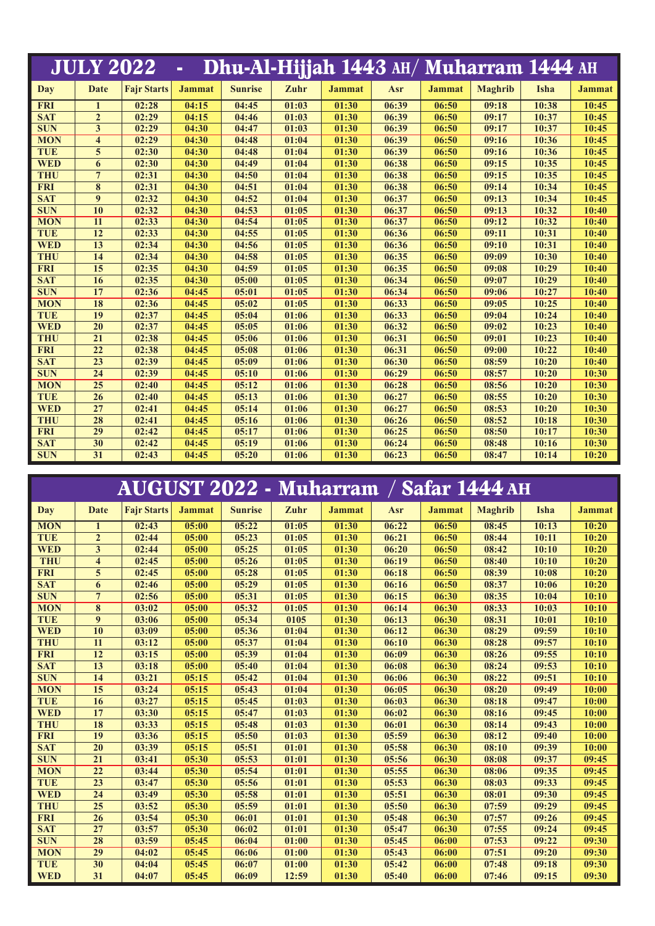|            | <b>JULY 2022</b>        |                    | $\blacksquare$ |                |       |               |       |               | Dhu-Al-Hijjah 1443 AH/ Muharram 1444 AH |       |               |
|------------|-------------------------|--------------------|----------------|----------------|-------|---------------|-------|---------------|-----------------------------------------|-------|---------------|
| <b>Day</b> | Date                    | <b>Fajr Starts</b> | <b>Jammat</b>  | <b>Sunrise</b> | Zuhr  | <b>Jammat</b> | Asr   | <b>Jammat</b> | <b>Maghrib</b>                          | Isha  | <b>Jammat</b> |
| <b>FRI</b> | $\mathbf{1}$            | 02:28              | 04:15          | 04:45          | 01:03 | 01:30         | 06:39 | 06:50         | 09:18                                   | 10:38 | 10:45         |
| <b>SAT</b> | $\overline{2}$          | 02:29              | 04:15          | 04:46          | 01:03 | 01:30         | 06:39 | 06:50         | 09:17                                   | 10:37 | 10:45         |
| <b>SUN</b> | 3                       | 02:29              | 04:30          | 04:47          | 01:03 | 01:30         | 06:39 | 06:50         | 09:17                                   | 10:37 | 10:45         |
| <b>MON</b> | $\overline{\mathbf{4}}$ | 02:29              | 04:30          | 04:48          | 01:04 | 01:30         | 06:39 | 06:50         | 09:16                                   | 10:36 | 10:45         |
| <b>TUE</b> | 5                       | 02:30              | 04:30          | 04:48          | 01:04 | 01:30         | 06:39 | 06:50         | 09:16                                   | 10:36 | 10:45         |
| <b>WED</b> | 6                       | 02:30              | 04:30          | 04:49          | 01:04 | 01:30         | 06:38 | 06:50         | 09:15                                   | 10:35 | 10:45         |
| <b>THU</b> | $7\phantom{.0}$         | 02:31              | 04:30          | 04:50          | 01:04 | 01:30         | 06:38 | 06:50         | 09:15                                   | 10:35 | 10:45         |
| <b>FRI</b> | 8                       | 02:31              | 04:30          | 04:51          | 01:04 | 01:30         | 06:38 | 06:50         | 09:14                                   | 10:34 | 10:45         |
| <b>SAT</b> | $\boldsymbol{9}$        | 02:32              | 04:30          | 04:52          | 01:04 | 01:30         | 06:37 | 06:50         | 09:13                                   | 10:34 | 10:45         |
| <b>SUN</b> | 10                      | 02:32              | 04:30          | 04:53          | 01:05 | 01:30         | 06:37 | 06:50         | 09:13                                   | 10:32 | 10:40         |
| <b>MON</b> | 11                      | 02:33              | 04:30          | 04:54          | 01:05 | 01:30         | 06:37 | 06:50         | 09:12                                   | 10:32 | 10:40         |
| <b>TUE</b> | 12                      | 02:33              | 04:30          | 04:55          | 01:05 | 01:30         | 06:36 | 06:50         | 09:11                                   | 10:31 | 10:40         |
| <b>WED</b> | 13                      | 02:34              | 04:30          | 04:56          | 01:05 | 01:30         | 06:36 | 06:50         | 09:10                                   | 10:31 | 10:40         |
| <b>THU</b> | 14                      | 02:34              | 04:30          | 04:58          | 01:05 | 01:30         | 06:35 | 06:50         | 09:09                                   | 10:30 | 10:40         |
| <b>FRI</b> | 15                      | 02:35              | 04:30          | 04:59          | 01:05 | 01:30         | 06:35 | 06:50         | 09:08                                   | 10:29 | 10:40         |
| <b>SAT</b> | 16                      | 02:35              | 04:30          | 05:00          | 01:05 | 01:30         | 06:34 | 06:50         | 09:07                                   | 10:29 | 10:40         |
| <b>SUN</b> | 17                      | 02:36              | 04:45          | 05:01          | 01:05 | 01:30         | 06:34 | 06:50         | 09:06                                   | 10:27 | 10:40         |
| <b>MON</b> | <b>18</b>               | 02:36              | 04:45          | 05:02          | 01:05 | 01:30         | 06:33 | 06:50         | 09:05                                   | 10:25 | 10:40         |
| <b>TUE</b> | 19                      | 02:37              | 04:45          | 05:04          | 01:06 | 01:30         | 06:33 | 06:50         | 09:04                                   | 10:24 | 10:40         |
| <b>WED</b> | 20                      | 02:37              | 04:45          | 05:05          | 01:06 | 01:30         | 06:32 | 06:50         | 09:02                                   | 10:23 | 10:40         |
| <b>THU</b> | 21                      | 02:38              | 04:45          | 05:06          | 01:06 | 01:30         | 06:31 | 06:50         | 09:01                                   | 10:23 | 10:40         |
| <b>FRI</b> | 22                      | 02:38              | 04:45          | 05:08          | 01:06 | 01:30         | 06:31 | 06:50         | 09:00                                   | 10:22 | 10:40         |
| <b>SAT</b> | 23                      | 02:39              | 04:45          | 05:09          | 01:06 | 01:30         | 06:30 | 06:50         | 08:59                                   | 10:20 | 10:40         |
| <b>SUN</b> | 24                      | 02:39              | 04:45          | 05:10          | 01:06 | 01:30         | 06:29 | 06:50         | 08:57                                   | 10:20 | 10:30         |
| <b>MON</b> | 25                      | 02:40              | 04:45          | 05:12          | 01:06 | 01:30         | 06:28 | 06:50         | 08:56                                   | 10:20 | 10:30         |
| <b>TUE</b> | 26                      | 02:40              | 04:45          | 05:13          | 01:06 | 01:30         | 06:27 | 06:50         | 08:55                                   | 10:20 | 10:30         |
| <b>WED</b> | 27                      | 02:41              | 04:45          | 05:14          | 01:06 | 01:30         | 06:27 | 06:50         | 08:53                                   | 10:20 | 10:30         |
| <b>THU</b> | 28                      | 02:41              | 04:45          | 05:16          | 01:06 | 01:30         | 06:26 | 06:50         | 08:52                                   | 10:18 | 10:30         |
| <b>FRI</b> | 29                      | 02:42              | 04:45          | 05:17          | 01:06 | 01:30         | 06:25 | 06:50         | 08:50                                   | 10:17 | 10:30         |
| <b>SAT</b> | 30                      | 02:42              | 04:45          | 05:19          | 01:06 | 01:30         | 06:24 | 06:50         | 08:48                                   | 10:16 | 10:30         |
| <b>SUN</b> | 31                      | 02:43              | 04:45          | 05:20          | 01:06 | 01:30         | 06:23 | 06:50         | 08:47                                   | 10:14 | 10:20         |

## **AUGUST 2022 - Muharram / Safar 1444 AH**

| Day        | <b>Date</b>             | <b>Fajr Starts</b> | <b>Jammat</b> | <b>Sunrise</b> | Zuhr  | <b>Jammat</b> | Asr   | <b>Jammat</b> | <b>Maghrib</b> | Isha  | <b>Jammat</b> |
|------------|-------------------------|--------------------|---------------|----------------|-------|---------------|-------|---------------|----------------|-------|---------------|
| <b>MON</b> | $\mathbf{1}$            | 02:43              | 05:00         | 05:22          | 01:05 | 01:30         | 06:22 | 06:50         | 08:45          | 10:13 | 10:20         |
| <b>TUE</b> | $\overline{2}$          | 02:44              | 05:00         | 05:23          | 01:05 | 01:30         | 06:21 | 06:50         | 08:44          | 10:11 | 10:20         |
| <b>WED</b> | 3                       | 02:44              | 05:00         | 05:25          | 01:05 | 01:30         | 06:20 | 06:50         | 08:42          | 10:10 | 10:20         |
| <b>THU</b> | $\overline{\mathbf{4}}$ | 02:45              | 05:00         | 05:26          | 01:05 | 01:30         | 06:19 | 06:50         | 08:40          | 10:10 | 10:20         |
| <b>FRI</b> | 5                       | 02:45              | 05:00         | 05:28          | 01:05 | 01:30         | 06:18 | 06:50         | 08:39          | 10:08 | 10:20         |
| <b>SAT</b> | 6                       | 02:46              | 05:00         | 05:29          | 01:05 | 01:30         | 06:16 | 06:50         | 08:37          | 10:06 | 10:20         |
| <b>SUN</b> | $\overline{7}$          | 02:56              | 05:00         | 05:31          | 01:05 | 01:30         | 06:15 | 06:30         | 08:35          | 10:04 | 10:10         |
| <b>MON</b> | 8                       | 03:02              | 05:00         | 05:32          | 01:05 | 01:30         | 06:14 | 06:30         | 08:33          | 10:03 | 10:10         |
| <b>TUE</b> | 9                       | 03:06              | 05:00         | 05:34          | 0105  | 01:30         | 06:13 | 06:30         | 08:31          | 10:01 | 10:10         |
| <b>WED</b> | 10                      | 03:09              | 05:00         | 05:36          | 01:04 | 01:30         | 06:12 | 06:30         | 08:29          | 09:59 | 10:10         |
| <b>THU</b> | $\overline{11}$         | 03:12              | 05:00         | 05:37          | 01:04 | 01:30         | 06:10 | 06:30         | 08:28          | 09:57 | 10:10         |
| <b>FRI</b> | 12                      | 03:15              | 05:00         | 05:39          | 01:04 | 01:30         | 06:09 | 06:30         | 08:26          | 09:55 | 10:10         |
| <b>SAT</b> | 13                      | 03:18              | 05:00         | 05:40          | 01:04 | 01:30         | 06:08 | 06:30         | 08:24          | 09:53 | 10:10         |
| <b>SUN</b> | 14                      | 03:21              | 05:15         | 05:42          | 01:04 | 01:30         | 06:06 | 06:30         | 08:22          | 09:51 | 10:10         |
| <b>MON</b> | 15                      | 03:24              | 05:15         | 05:43          | 01:04 | 01:30         | 06:05 | 06:30         | 08:20          | 09:49 | 10:00         |
| <b>TUE</b> | 16                      | 03:27              | 05:15         | 05:45          | 01:03 | 01:30         | 06:03 | 06:30         | 08:18          | 09:47 | 10:00         |
| <b>WED</b> | 17                      | 03:30              | 05:15         | 05:47          | 01:03 | 01:30         | 06:02 | 06:30         | 08:16          | 09:45 | 10:00         |
| <b>THU</b> | 18                      | 03:33              | 05:15         | 05:48          | 01:03 | 01:30         | 06:01 | 06:30         | 08:14          | 09:43 | 10:00         |
| <b>FRI</b> | 19                      | 03:36              | 05:15         | 05:50          | 01:03 | 01:30         | 05:59 | 06:30         | 08:12          | 09:40 | 10:00         |
| <b>SAT</b> | 20                      | 03:39              | 05:15         | 05:51          | 01:01 | 01:30         | 05:58 | 06:30         | 08:10          | 09:39 | 10:00         |
| <b>SUN</b> | 21                      | 03:41              | 05:30         | 05:53          | 01:01 | 01:30         | 05:56 | 06:30         | 08:08          | 09:37 | 09:45         |
| <b>MON</b> | $\overline{22}$         | 03:44              | 05:30         | 05:54          | 01:01 | 01:30         | 05:55 | 06:30         | 08:06          | 09:35 | 09:45         |
| <b>TUE</b> | $\overline{23}$         | 03:47              | 05:30         | 05:56          | 01:01 | 01:30         | 05:53 | 06:30         | 08:03          | 09:33 | 09:45         |
| <b>WED</b> | 24                      | 03:49              | 05:30         | 05:58          | 01:01 | 01:30         | 05:51 | 06:30         | 08:01          | 09:30 | 09:45         |
| <b>THU</b> | 25                      | 03:52              | 05:30         | 05:59          | 01:01 | 01:30         | 05:50 | 06:30         | 07:59          | 09:29 | 09:45         |
| <b>FRI</b> | 26                      | 03:54              | 05:30         | 06:01          | 01:01 | 01:30         | 05:48 | 06:30         | 07:57          | 09:26 | 09:45         |
| <b>SAT</b> | 27                      | 03:57              | 05:30         | 06:02          | 01:01 | 01:30         | 05:47 | 06:30         | 07:55          | 09:24 | 09:45         |
| <b>SUN</b> | 28                      | 03:59              | 05:45         | 06:04          | 01:00 | 01:30         | 05:45 | 06:00         | 07:53          | 09:22 | 09:30         |
| <b>MON</b> | 29                      | 04:02              | 05:45         | 06:06          | 01:00 | 01:30         | 05:43 | 06:00         | 07:51          | 09:20 | 09:30         |
| <b>TUE</b> | 30                      | 04:04              | 05:45         | 06:07          | 01:00 | 01:30         | 05:42 | 06:00         | 07:48          | 09:18 | 09:30         |
| <b>WED</b> | 31                      | 04:07              | 05:45         | 06:09          | 12:59 | 01:30         | 05:40 | 06:00         | 07:46          | 09:15 | 09:30         |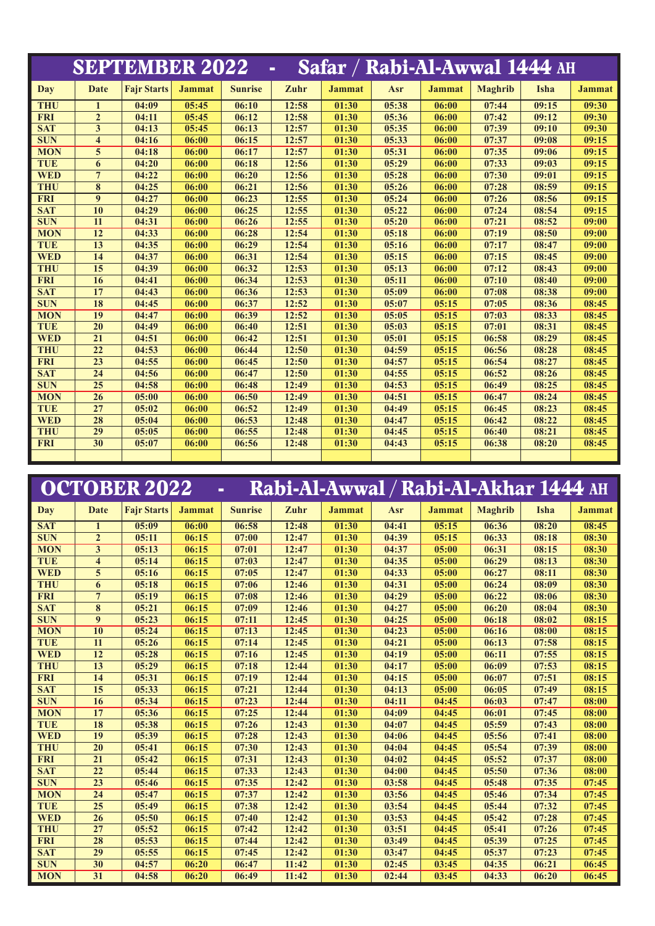|            |                         | <b>SEPTEMBER 2022</b> |               |                |       |               |       | Safar / Rabi-Al-Awwal 1444 AH |                |       |               |
|------------|-------------------------|-----------------------|---------------|----------------|-------|---------------|-------|-------------------------------|----------------|-------|---------------|
| Day        | <b>Date</b>             | <b>Fajr Starts</b>    | <b>Jammat</b> | <b>Sunrise</b> | Zuhr  | <b>Jammat</b> | Asr   | <b>Jammat</b>                 | <b>Maghrib</b> | Isha  | <b>Jammat</b> |
| <b>THU</b> | $\mathbf{1}$            | 04:09                 | 05:45         | 06:10          | 12:58 | 01:30         | 05:38 | 06:00                         | 07:44          | 09:15 | 09:30         |
| <b>FRI</b> | $\overline{2}$          | 04:11                 | 05:45         | 06:12          | 12:58 | 01:30         | 05:36 | 06:00                         | 07:42          | 09:12 | 09:30         |
| <b>SAT</b> | 3                       | 04:13                 | 05:45         | 06:13          | 12:57 | 01:30         | 05:35 | 06:00                         | 07:39          | 09:10 | 09:30         |
| <b>SUN</b> | $\overline{\mathbf{4}}$ | 04:16                 | 06:00         | 06:15          | 12:57 | 01:30         | 05:33 | 06:00                         | 07:37          | 09:08 | 09:15         |
| <b>MON</b> | 5                       | 04:18                 | 06:00         | 06:17          | 12:57 | 01:30         | 05:31 | 06:00                         | 07:35          | 09:06 | 09:15         |
| <b>TUE</b> | 6                       | 04:20                 | 06:00         | 06:18          | 12:56 | 01:30         | 05:29 | 06:00                         | 07:33          | 09:03 | 09:15         |
| <b>WED</b> | $\overline{7}$          | 04:22                 | 06:00         | 06:20          | 12:56 | 01:30         | 05:28 | 06:00                         | 07:30          | 09:01 | 09:15         |
| <b>THU</b> | 8                       | 04:25                 | 06:00         | 06:21          | 12:56 | 01:30         | 05:26 | 06:00                         | 07:28          | 08:59 | 09:15         |
| <b>FRI</b> | $\boldsymbol{9}$        | 04:27                 | 06:00         | 06:23          | 12:55 | 01:30         | 05:24 | 06:00                         | 07:26          | 08:56 | 09:15         |
| <b>SAT</b> | 10                      | 04:29                 | 06:00         | 06:25          | 12:55 | 01:30         | 05:22 | 06:00                         | 07:24          | 08:54 | 09:15         |
| <b>SUN</b> | 11                      | 04:31                 | 06:00         | 06:26          | 12:55 | 01:30         | 05:20 | 06:00                         | 07:21          | 08:52 | 09:00         |
| <b>MON</b> | 12                      | 04:33                 | 06:00         | 06:28          | 12:54 | 01:30         | 05:18 | 06:00                         | 07:19          | 08:50 | 09:00         |
| <b>TUE</b> | 13                      | 04:35                 | 06:00         | 06:29          | 12:54 | 01:30         | 05:16 | 06:00                         | 07:17          | 08:47 | 09:00         |
| <b>WED</b> | 14                      | 04:37                 | 06:00         | 06:31          | 12:54 | 01:30         | 05:15 | 06:00                         | 07:15          | 08:45 | 09:00         |
| <b>THU</b> | 15                      | 04:39                 | 06:00         | 06:32          | 12:53 | 01:30         | 05:13 | 06:00                         | 07:12          | 08:43 | 09:00         |
| <b>FRI</b> | 16                      | 04:41                 | 06:00         | 06:34          | 12:53 | 01:30         | 05:11 | 06:00                         | 07:10          | 08:40 | 09:00         |
| <b>SAT</b> | 17                      | 04:43                 | 06:00         | 06:36          | 12:53 | 01:30         | 05:09 | 06:00                         | 07:08          | 08:38 | 09:00         |
| <b>SUN</b> | 18                      | 04:45                 | 06:00         | 06:37          | 12:52 | 01:30         | 05:07 | 05:15                         | 07:05          | 08:36 | 08:45         |
| <b>MON</b> | 19                      | 04:47                 | 06:00         | 06:39          | 12:52 | 01:30         | 05:05 | 05:15                         | 07:03          | 08:33 | 08:45         |
| <b>TUE</b> | 20                      | 04:49                 | 06:00         | 06:40          | 12:51 | 01:30         | 05:03 | 05:15                         | 07:01          | 08:31 | 08:45         |
| <b>WED</b> | $\overline{21}$         | 04:51                 | 06:00         | 06:42          | 12:51 | 01:30         | 05:01 | 05:15                         | 06:58          | 08:29 | 08:45         |
| <b>THU</b> | 22                      | 04:53                 | 06:00         | 06:44          | 12:50 | 01:30         | 04:59 | 05:15                         | 06:56          | 08:28 | 08:45         |
| <b>FRI</b> | 23                      | 04:55                 | 06:00         | 06:45          | 12:50 | 01:30         | 04:57 | 05:15                         | 06:54          | 08:27 | 08:45         |
| <b>SAT</b> | $\overline{24}$         | 04:56                 | 06:00         | 06:47          | 12:50 | 01:30         | 04:55 | 05:15                         | 06:52          | 08:26 | 08:45         |
| <b>SUN</b> | 25                      | 04:58                 | 06:00         | 06:48          | 12:49 | 01:30         | 04:53 | 05:15                         | 06:49          | 08:25 | 08:45         |
| <b>MON</b> | 26                      | 05:00                 | 06:00         | 06:50          | 12:49 | 01:30         | 04:51 | 05:15                         | 06:47          | 08:24 | 08:45         |
| <b>TUE</b> | 27                      | 05:02                 | 06:00         | 06:52          | 12:49 | 01:30         | 04:49 | 05:15                         | 06:45          | 08:23 | 08:45         |
| <b>WED</b> | 28                      | 05:04                 | 06:00         | 06:53          | 12:48 | 01:30         | 04:47 | 05:15                         | 06:42          | 08:22 | 08:45         |
| <b>THU</b> | 29                      | 05:05                 | 06:00         | 06:55          | 12:48 | 01:30         | 04:45 | 05:15                         | 06:40          | 08:21 | 08:45         |
| <b>FRI</b> | 30                      | 05:07                 | 06:00         | 06:56          | 12:48 | 01:30         | 04:43 | 05:15                         | 06:38          | 08:20 | 08:45         |
|            |                         |                       |               |                |       |               |       |                               |                |       |               |

|            |                         | <b>OCTOBER 2022</b> | $\blacksquare$ |                |       |               |       |               | Rabi-Al-Awwal / Rabi-Al-Akhar 1444 AH |       |               |
|------------|-------------------------|---------------------|----------------|----------------|-------|---------------|-------|---------------|---------------------------------------|-------|---------------|
| Day        | <b>Date</b>             | <b>Fajr Starts</b>  | <b>Jammat</b>  | <b>Sunrise</b> | Zuhr  | <b>Jammat</b> | Asr   | <b>Jammat</b> | <b>Maghrib</b>                        | Isha  | <b>Jammat</b> |
| <b>SAT</b> | 1                       | 05:09               | 06:00          | 06:58          | 12:48 | 01:30         | 04:41 | 05:15         | 06:36                                 | 08:20 | 08:45         |
| <b>SUN</b> | $\overline{2}$          | 05:11               | 06:15          | 07:00          | 12:47 | 01:30         | 04:39 | 05:15         | 06:33                                 | 08:18 | 08:30         |
| <b>MON</b> | 3                       | 05:13               | 06:15          | 07:01          | 12:47 | 01:30         | 04:37 | 05:00         | 06:31                                 | 08:15 | 08:30         |
| <b>TUE</b> | $\overline{\mathbf{4}}$ | 05:14               | 06:15          | 07:03          | 12:47 | 01:30         | 04:35 | 05:00         | 06:29                                 | 08:13 | 08:30         |
| <b>WED</b> | 5                       | 05:16               | 06:15          | 07:05          | 12:47 | 01:30         | 04:33 | 05:00         | 06:27                                 | 08:11 | 08:30         |
| <b>THU</b> | 6                       | 05:18               | 06:15          | 07:06          | 12:46 | 01:30         | 04:31 | 05:00         | 06:24                                 | 08:09 | 08:30         |
| <b>FRI</b> | $7\phantom{.0}$         | 05:19               | 06:15          | 07:08          | 12:46 | 01:30         | 04:29 | 05:00         | 06:22                                 | 08:06 | 08:30         |
| <b>SAT</b> | 8                       | 05:21               | 06:15          | 07:09          | 12:46 | 01:30         | 04:27 | 05:00         | 06:20                                 | 08:04 | 08:30         |
| <b>SUN</b> | 9                       | 05:23               | 06:15          | 07:11          | 12:45 | 01:30         | 04:25 | 05:00         | 06:18                                 | 08:02 | 08:15         |
| <b>MON</b> | 10                      | 05:24               | 06:15          | 07:13          | 12:45 | 01:30         | 04:23 | 05:00         | 06:16                                 | 08:00 | 08:15         |
| <b>TUE</b> | 11                      | 05:26               | 06:15          | 07:14          | 12:45 | 01:30         | 04:21 | 05:00         | 06:13                                 | 07:58 | 08:15         |
| <b>WED</b> | 12                      | 05:28               | 06:15          | 07:16          | 12:45 | 01:30         | 04:19 | 05:00         | 06:11                                 | 07:55 | 08:15         |
| <b>THU</b> | 13                      | 05:29               | 06:15          | 07:18          | 12:44 | 01:30         | 04:17 | 05:00         | 06:09                                 | 07:53 | 08:15         |
| <b>FRI</b> | 14                      | 05:31               | 06:15          | 07:19          | 12:44 | 01:30         | 04:15 | 05:00         | 06:07                                 | 07:51 | 08:15         |
| <b>SAT</b> | 15                      | 05:33               | 06:15          | 07:21          | 12:44 | 01:30         | 04:13 | 05:00         | 06:05                                 | 07:49 | 08:15         |
| <b>SUN</b> | 16                      | 05:34               | 06:15          | 07:23          | 12:44 | 01:30         | 04:11 | 04:45         | 06:03                                 | 07:47 | 08:00         |
| <b>MON</b> | 17                      | 05:36               | 06:15          | 07:25          | 12:44 | 01:30         | 04:09 | 04:45         | 06:01                                 | 07:45 | 08:00         |
| <b>TUE</b> | 18                      | 05:38               | 06:15          | 07:26          | 12:43 | 01:30         | 04:07 | 04:45         | 05:59                                 | 07:43 | 08:00         |
| <b>WED</b> | 19                      | 05:39               | 06:15          | 07:28          | 12:43 | 01:30         | 04:06 | 04:45         | 05:56                                 | 07:41 | 08:00         |
| <b>THU</b> | 20                      | 05:41               | 06:15          | 07:30          | 12:43 | 01:30         | 04:04 | 04:45         | 05:54                                 | 07:39 | 08:00         |
| <b>FRI</b> | 21                      | 05:42               | 06:15          | 07:31          | 12:43 | 01:30         | 04:02 | 04:45         | 05:52                                 | 07:37 | 08:00         |
| <b>SAT</b> | 22                      | 05:44               | 06:15          | 07:33          | 12:43 | 01:30         | 04:00 | 04:45         | 05:50                                 | 07:36 | 08:00         |
| <b>SUN</b> | 23                      | 05:46               | 06:15          | 07:35          | 12:42 | 01:30         | 03:58 | 04:45         | 05:48                                 | 07:35 | 07:45         |
| <b>MON</b> | 24                      | 05:47               | 06:15          | 07:37          | 12:42 | 01:30         | 03:56 | 04:45         | 05:46                                 | 07:34 | 07:45         |
| <b>TUE</b> | 25                      | 05:49               | 06:15          | 07:38          | 12:42 | 01:30         | 03:54 | 04:45         | 05:44                                 | 07:32 | 07:45         |
| <b>WED</b> | 26                      | 05:50               | 06:15          | 07:40          | 12:42 | 01:30         | 03:53 | 04:45         | 05:42                                 | 07:28 | 07:45         |
| <b>THU</b> | 27                      | 05:52               | 06:15          | 07:42          | 12:42 | 01:30         | 03:51 | 04:45         | 05:41                                 | 07:26 | 07:45         |
| <b>FRI</b> | 28                      | 05:53               | 06:15          | 07:44          | 12:42 | 01:30         | 03:49 | 04:45         | 05:39                                 | 07:25 | 07:45         |
| <b>SAT</b> | 29                      | 05:55               | 06:15          | 07:45          | 12:42 | 01:30         | 03:47 | 04:45         | 05:37                                 | 07:23 | 07:45         |
| <b>SUN</b> | 30                      | 04:57               | 06:20          | 06:47          | 11:42 | 01:30         | 02:45 | 03:45         | 04:35                                 | 06:21 | 06:45         |
| <b>MON</b> | 31                      | 04:58               | 06:20          | 06:49          | 11:42 | 01:30         | 02:44 | 03:45         | 04:33                                 | 06:20 | 06:45         |